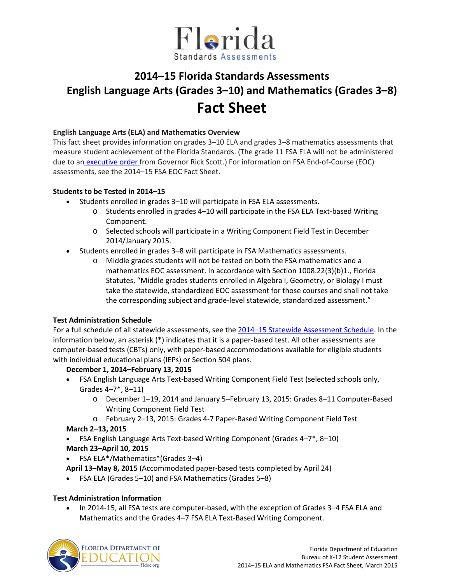

# **2014–15 Florida Standards Assessments English Language Arts (Grades 3–10) and Mathematics (Grades 3–8) Fact Sheet**

#### **English Language Arts (ELA) and Mathematics Overview**

This fact sheet provides information on grades 3–10 ELA and grades 3–8 mathematics assessments that measure student achievement of the Florida Standards. (The grade 11 FSA ELA will not be administered due to an [executive order f](http://www.flgov.com/wp-content/uploads/2015/02/EO-2.24.15.pdf)rom Governor Rick Scott.) For information on FSA End-of-Course (EOC) assessments, see the 2014–15 FSA EOC Fact Sheet.

#### **Students to be Tested in 2014–15**

- Students enrolled in grades 3–10 will participate in FSA ELA assessments.
	- o Students enrolled in grades 4–10 will participate in the FSA ELA Text-based Writing Component.
	- o Selected schools will participate in a Writing Component Field Test in December 2014/January 2015.
- Students enrolled in grades 3–8 will participate in FSA Mathematics assessments.
	- o Middle grades students will not be tested on both the FSA mathematics and a mathematics EOC assessment. In accordance with Section 1008.22(3)(b)1., Florida Statutes, "Middle grades students enrolled in Algebra I, Geometry, or Biology I must take the statewide, standardized EOC assessment for those courses and shall not take the corresponding subject and grade-level statewide, standardized assessment."

## **Test Administration Schedule**

For a full schedule of all statewide assessments, see the [2014–15 Statewide Assessment Schedule.](http://info.fldoe.org/docushare/dsweb/Get/Document-7047/dps-2014-81a.pdf) In the information below, an asterisk (\*) indicates that it is a paper-based test. All other assessments are computer-based tests (CBTs) only, with paper-based accommodations available for eligible students with individual educational plans (IEPs) or Section 504 plans.

## **December 1, 2014–February 13, 2015**

- FSA English Language Arts Text-based Writing Component Field Test (selected schools only, Grades 4–7\*, 8–11)
	- o December 1–19, 2014 and January 5–February 13, 2015: Grades 8–11 Computer-Based Writing Component Field Test
	- o February 2–13, 2015: Grades 4-7 Paper-Based Writing Component Field Test

## **March 2–13, 2015**

- FSA English Language Arts Text-based Writing Component (Grades 4–7\*, 8–10) **March 23–April 10, 2015**
- FSA ELA\*/Mathematics\*(Grades 3–4)

**April 13–May 8, 2015** (Accommodated paper-based tests completed by April 24)

• FSA ELA (Grades 5–10) and FSA Mathematics (Grades 5–8)

## **Test Administration Information**

• In 2014-15, all FSA tests are computer-based, with the exception of Grades 3–4 FSA ELA and Mathematics and the Grades 4–7 FSA ELA Text-Based Writing Component.

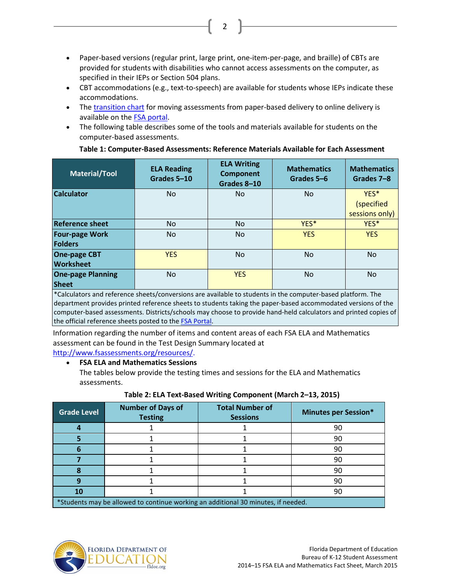• Paper-based versions (regular print, large print, one-item-per-page, and braille) of CBTs are provided for students with disabilities who cannot access assessments on the computer, as specified in their IEPs or Section 504 plans.

2

- CBT accommodations (e.g., text-to-speech) are available for students whose IEPs indicate these accommodations.
- The [transition chart](http://info.fldoe.org/docushare/dsweb/Get/Document-7048/dps-2014-81b.pdf) for moving assessments from paper-based delivery to online delivery is available on the **FSA portal**.
- The following table describes some of the tools and materials available for students on the computer-based assessments.

| Material/Tool                            | <b>ELA Reading</b><br>Grades 5-10 | <b>ELA Writing</b><br><b>Component</b><br>Grades 8-10 | <b>Mathematics</b><br>Grades 5-6 | <b>Mathematics</b><br>Grades 7-8     |
|------------------------------------------|-----------------------------------|-------------------------------------------------------|----------------------------------|--------------------------------------|
| <b>Calculator</b>                        | No.                               | <b>No</b>                                             | <b>No</b>                        | YES*<br>(specified<br>sessions only) |
| <b>Reference sheet</b>                   | No.                               | <b>No</b>                                             | YES <sup>*</sup>                 | YES*                                 |
| <b>Four-page Work</b><br><b>Folders</b>  | No.                               | <b>No</b>                                             | <b>YES</b>                       | <b>YES</b>                           |
| <b>One-page CBT</b><br><b>Worksheet</b>  | <b>YES</b>                        | <b>No</b>                                             | <b>No</b>                        | <b>No</b>                            |
| <b>One-page Planning</b><br><b>Sheet</b> | No.                               | <b>YES</b>                                            | <b>No</b>                        | <b>No</b>                            |

#### **Table 1: Computer-Based Assessments: Reference Materials Available for Each Assessment**

\*Calculators and reference sheets/conversions are available to students in the computer-based platform. The department provides printed reference sheets to students taking the paper-based accommodated versions of the computer-based assessments. Districts/schools may choose to provide hand-held calculators and printed copies of the official reference sheets posted to the **FSA Portal**.

Information regarding the number of items and content areas of each FSA ELA and Mathematics assessment can be found in the Test Design Summary located at

[http://www.fsassessments.org/resources/.](http://www.fsassessments.org/resources/)

## • **FSA ELA and Mathematics Sessions**

The tables below provide the testing times and sessions for the ELA and Mathematics assessments.

| Table 2: ELA Text-Based Writing Component (March 2-13, 2015) |  |  |
|--------------------------------------------------------------|--|--|
|--------------------------------------------------------------|--|--|

| <b>Grade Level</b>                                                                | <b>Number of Days of</b><br><b>Testing</b> | <b>Total Number of</b><br><b>Sessions</b> | <b>Minutes per Session*</b> |  |
|-----------------------------------------------------------------------------------|--------------------------------------------|-------------------------------------------|-----------------------------|--|
|                                                                                   |                                            |                                           | 90                          |  |
|                                                                                   |                                            |                                           | 90                          |  |
|                                                                                   |                                            |                                           | 90                          |  |
|                                                                                   |                                            |                                           | 90                          |  |
|                                                                                   |                                            |                                           | 90                          |  |
|                                                                                   |                                            |                                           | 90                          |  |
| 10                                                                                |                                            |                                           | 90                          |  |
| *Students may be allowed to continue working an additional 30 minutes, if needed. |                                            |                                           |                             |  |

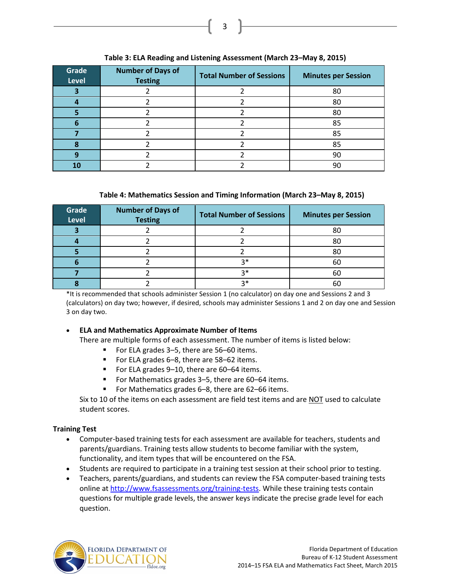#### **Grade Level Number of Days of Testing Total Number of Sessions Minutes per Session 3** 2 2 2 80 **4** 2 2 2 80 **5** 2 2 2 80 **6** 2 2 2 85 **7** 2 2 2 85 **8** 2 2 2 85 **9** 2 2 2 90 10 2 2 2 90

#### **Table 3: ELA Reading and Listening Assessment (March 23–May 8, 2015)**

3

## **Table 4: Mathematics Session and Timing Information (March 23–May 8, 2015)**

| Grade<br><b>Level</b> | <b>Number of Days of</b><br><b>Testing</b> | <b>Total Number of Sessions</b> | <b>Minutes per Session</b> |
|-----------------------|--------------------------------------------|---------------------------------|----------------------------|
|                       |                                            |                                 | 80                         |
|                       |                                            |                                 | 80                         |
|                       |                                            |                                 | 80                         |
|                       |                                            | つ*                              | 60                         |
|                       |                                            | $2*$                            | 60                         |
|                       |                                            | ?∗                              | ы                          |

\*It is recommended that schools administer Session 1 (no calculator) on day one and Sessions 2 and 3 (calculators) on day two; however, if desired, schools may administer Sessions 1 and 2 on day one and Session 3 on day two.

## • **ELA and Mathematics Approximate Number of Items**

There are multiple forms of each assessment. The number of items is listed below:

- For ELA grades 3–5, there are 56–60 items.
- For ELA grades 6–8, there are 58–62 items.
- For ELA grades 9-10, there are 60-64 items.
- For Mathematics grades 3–5, there are 60–64 items.
- For Mathematics grades 6–8, there are 62–66 items.

Six to 10 of the items on each assessment are field test items and are NOT used to calculate student scores.

## **Training Test**

- Computer-based training tests for each assessment are available for teachers, students and parents/guardians. Training tests allow students to become familiar with the system, functionality, and item types that will be encountered on the FSA.
- Students are required to participate in a training test session at their school prior to testing.
- Teachers, parents/guardians, and students can review the FSA computer-based training tests online at [http://www.fsassessments.org/training-tests.](http://www.fsassessments.org/training-tests) While these training tests contain questions for multiple grade levels, the answer keys indicate the precise grade level for each question.